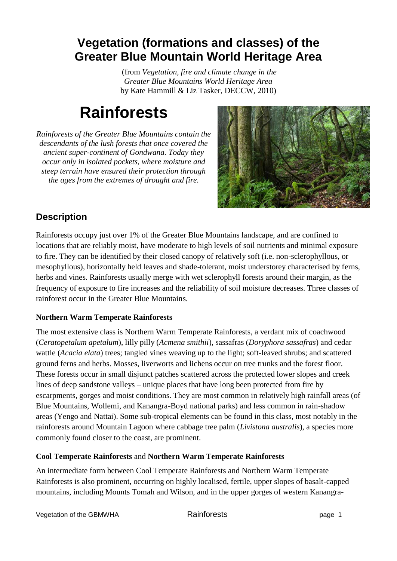## **Vegetation (formations and classes) of the Greater Blue Mountain World Heritage Area**

(from *Vegetation, fire and climate change in the Greater Blue Mountains World Heritage Area* by Kate Hammill & Liz Tasker, DECCW, 2010)

# **Rainforests**

*Rainforests of the Greater Blue Mountains contain the descendants of the lush forests that once covered the ancient super-continent of Gondwana. Today they occur only in isolated pockets, where moisture and steep terrain have ensured their protection through the ages from the extremes of drought and fire.*



### **Description**

Rainforests occupy just over 1% of the Greater Blue Mountains landscape, and are confined to locations that are reliably moist, have moderate to high levels of soil nutrients and minimal exposure to fire. They can be identified by their closed canopy of relatively soft (i.e. non-sclerophyllous, or mesophyllous), horizontally held leaves and shade-tolerant, moist understorey characterised by ferns, herbs and vines. Rainforests usually merge with wet sclerophyll forests around their margin, as the frequency of exposure to fire increases and the reliability of soil moisture decreases. Three classes of rainforest occur in the Greater Blue Mountains.

#### **Northern Warm Temperate Rainforests**

The most extensive class is Northern Warm Temperate Rainforests, a verdant mix of coachwood (*Ceratopetalum apetalum*), lilly pilly (*Acmena smithii*), sassafras (*Doryphora sassafras*) and cedar wattle (*Acacia elata*) trees; tangled vines weaving up to the light; soft-leaved shrubs; and scattered ground ferns and herbs. Mosses, liverworts and lichens occur on tree trunks and the forest floor. These forests occur in small disjunct patches scattered across the protected lower slopes and creek lines of deep sandstone valleys – unique places that have long been protected from fire by escarpments, gorges and moist conditions. They are most common in relatively high rainfall areas (of Blue Mountains, Wollemi, and Kanangra-Boyd national parks) and less common in rain-shadow areas (Yengo and Nattai). Some sub-tropical elements can be found in this class, most notably in the rainforests around Mountain Lagoon where cabbage tree palm (*Livistona australis*), a species more commonly found closer to the coast, are prominent.

#### **Cool Temperate Rainforests** and **Northern Warm Temperate Rainforests**

An intermediate form between Cool Temperate Rainforests and Northern Warm Temperate Rainforests is also prominent, occurring on highly localised, fertile, upper slopes of basalt-capped mountains, including Mounts Tomah and Wilson, and in the upper gorges of western Kanangra